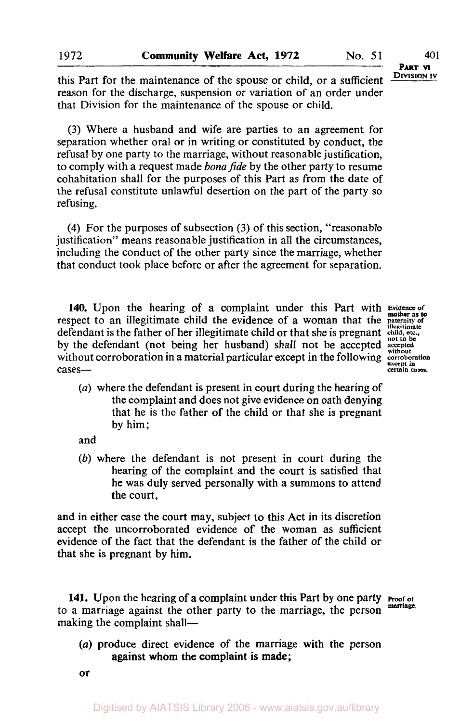this Part for the maintenance of the spouse or child, or a sufficient **DIVISION IV** reason for the discharge, suspension or variation of an order under that Division for the maintenance of the spouse or child.

**(3)** Where a husband and wife are parties to an agreement for separation whether oral or in writing or constituted by conduct, the refusal by one party to the marriage, without reasonable justification, to comply with a request made *bona fide* by the other party to resume cohabitation shall for the purposes **of** this Part as from the date **of**  the refusal constitute unlawful desertion on the part of the party so refusing.

**(4)** For the purposes of subsection **(3)** of this section, "reasonable justification" means reasonable justification in all the circumstances, including the conduct of the other party since the marriage, whether that conduct took place before or after the agreement for separation.

140. Upon the hearing of a complaint under this Part with Eviden respect to an illegitimate child the evidence of a woman that the **paternity** of **pater** defendant is the father of her illegitimate child or that she is pregnant child, etc., not to be by the defendant (not being her husband) shall not be accepted accepted without corroboration in a material particular except in the following  $\frac{\text{wilhout}}{\text{except in}}$ cases<sup>---</sup><br> **cases**---<br> **certain cases.** 

**mother** *as* **to** 

*(a)* where the defendant **is** present in court during the hearing **of**  the complaint and does not give evidence on oath denying that he is the father of the child or that she is pregnant by him;

and

*(b)* where the defendant is not present in court during the hearing **of** the complaint and the court is satisfied that he was duly served personally with a summons to attend the court,

and in either case the court may, subject to this Act in its discretion accept the uncorroborated evidence of the woman as sufficient evidence **of** the fact that the defendant is the father of the child or that she is pregnant by him.

**141.** Upon the hearing of a complaint under this Part by one party **Proof of proof** of **marriage.** to **a** marriage against the other party to the marriage, the person making the complaint shall-

*(a)* produce direct evidence of the marriage with the person against whom the complaint is made;

**or**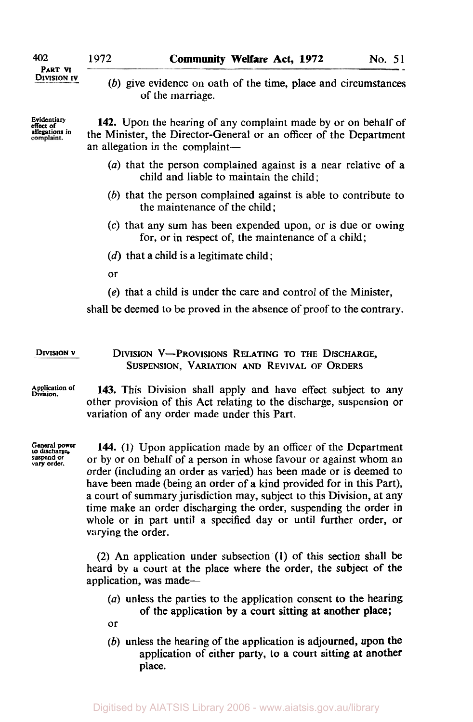## **PART VI**<br>Division iv

effect of<br>allegations in<br>complaint.

(b) give evidence on oath of the time, place and circumstances of the marriage.

Evidentiary **142.** Upon the hearing of any complaint made by or on behalf of the Minister, the Director-General or an officer of the Department an allegation in the complaint-

- (a) that the person complained against is a near relative of a child and liable to maintain the child;
- *(b)* that the person complained against is able to contribute to the maintenance of the child;
- *(c)* that any sum has been expended upon, or is due or owing for, or in respect of, the maintenance of a child;
- **(d)** that a child is a legitimate child;
- or
- **(e)** that a child is under the care and control of the Minister,

shall be deemed to be proved in the absence of proof to the contrary.

### **DIVISION v** DIVISION V-PROVISIONS RELATING TO **THE** DISCHARGE, SUSPENSION, VARIATION AND REVIVAL OF ORDERS

**Application of Division. 143.** This Division shall apply and have effect subject to any other provision of this Act relating to the discharge, suspension or variation of any order made under this Part.

General power<br>to discharge, suspend or vary order.

144. (1) Upon application made by an officer of the Department or by or on behalf of a person in whose favour or against whom an order (including an order as varied) has been made or is deemed to have been made (being an order of a kind provided for in this Part), a court of summary jurisdiction may, subject to this Division, at any time make an order discharging the order, suspending the order in whole or in part until a specified day or until further order, or varying the order.

**(2)** An application under subsection **(1)** of this section shall be heard by a court at the place where the order, the subject of the application, was made-

- (a) unless the parties to the application consent to the hearing of the application by a court sitting at another place;
- or
- *(b)* unless the hearing of the application is adjourned, upon the application **of** either party, **to** a court sitting at another place.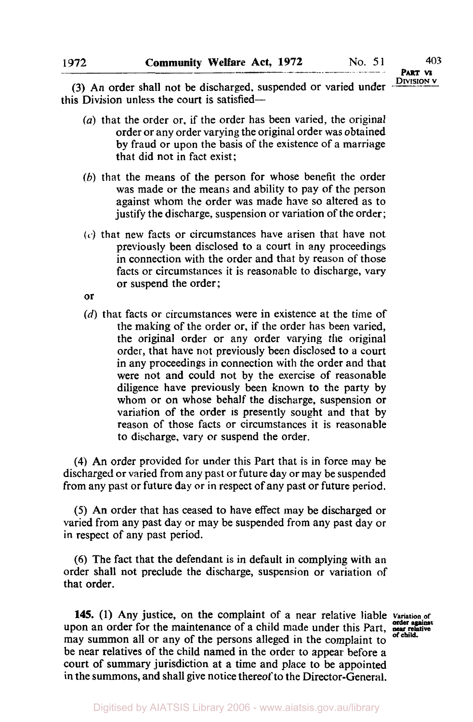**(3)** An order shall not be discharged, suspended or varied under **DIVISION V** this Division unless the court is satisfied-

- *(a)* that the order **or.** if the order has been varied, the original order or any order varying the original order was obtained by fraud or upon the basis **of** the existence of a marriage that did not in fact exist;
- (b) that the means of the person for whose benefit the order was made or the means and ability to pay of the person against whom the order was made have so altered as to justify the discharge, suspension or variation of the order;
- **(c)** that new facts or circumstances have arisen that have not previously been disclosed to a court in any proceedings in connection with the order and that by reason **of** those facts or circumstances it is reasonable to discharge, vary or suspend the order;
- or
- *(d)* that facts or circumstances were in existence at the time of the making of the order or, if the order has been varied, the original order or any order varying the original order, that have not previously been disclosed to a court in any proceedings in connection with the order and that were not and could not by the exercise of reasonable diligence have previously been known to the party by whom or on whose behalf the discharge, suspension or variation of the order is presently sought and that by reason of those facts or circumstances it is reasonable to discharge, vary or suspend the order.

**(4)** An order provided for under this Part that is in force may be discharged or varied from any past or future day or may be suspended from any past or future day or in respect of any past or future period.

*(5)* An order that has ceased to have effect may be discharged or varied from any past day or may be suspended from any past day or in respect of any past period.

**(6)** The fact that the defendant is in default in complying with an order shall not preclude the discharge, suspension or variation of that order.

145. (1) Any justice, on the complaint of a near relative liable variation of upon an order for the maintenance of a child made under this Part, near relative may summon all or any of the persons alleged in the complaint to be near relatives of the child named in the order to appear before a court of summary jurisdiction at a time and place to be appointed in the summons, and shall give notice thereof to the Director-General.

**of child.**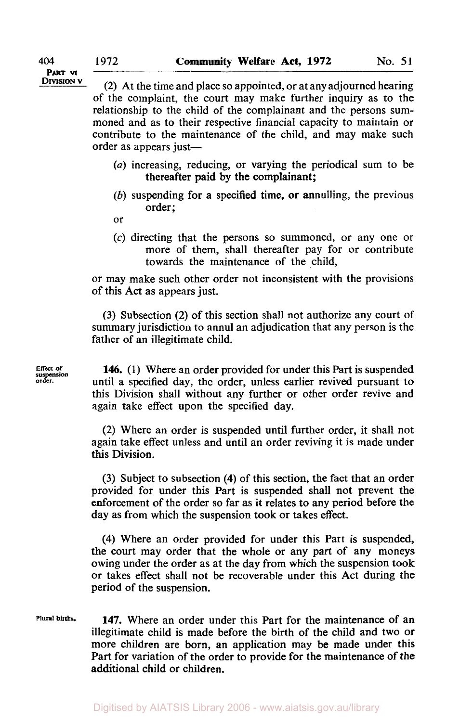DIVISION  $\mathbf{v}$  (2) At the time and place so appointed, or at any adjourned hearing of the complaint, the court may make further inquiry as to the relationship to the child of the complainant and the persons summoned and as to their respective financial capacity to maintain or contribute to the maintenance of the child, and may make such order as appears just-

- *(a)* increasing, reducing, or varying the periodical sum to be thereafter paid by the complainant;
- *(b)* suspending for a specified time, or annulling, the previous order;
- or
- (c) directing that the persons so summoned, or any one or more of them, shall thereafter pay for or contribute towards the maintenance of the child,

or may make such other order not inconsistent with the provisions of this Act as appears just.

(3) Subsection (2) of this section shall not authorize any court of summary jurisdiction to annul an adjudication that any person is the father of an illegitimate child.

Effect of suspension **Effect** *of*  **order.** 

**146. (1)** Where an order provided for under this Part is suspended until a specified day, the order, unless earlier revived pursuant to this Division shall without any further or other order revive and again take effect upon the specified day.

(2) Where an order is suspended until further order, it shall not again take effect unless and until an order reviving it is made under this Division.

(3) Subject to subsection **(4)** of this section, the fact that an order provided for under this Part is suspended shall not prevent the enforcement of the order so far as it relates to any period before the day as from which the suspension took or takes effect.

**(4)** Where an order provided for under this Part is suspended, the court may order that the whole or any part of any moneys owing under the order as at the day from which the suspension took or takes effect shall not be recoverable under this Act during the period of the suspension.

**Plural births. 147.** Where an order under this Part for the maintenance of an illegitimate child is made before the birth of the child and two or more children are born, an application may be made under this Part for variation of the order to provide for the maintenance of the additional child or children.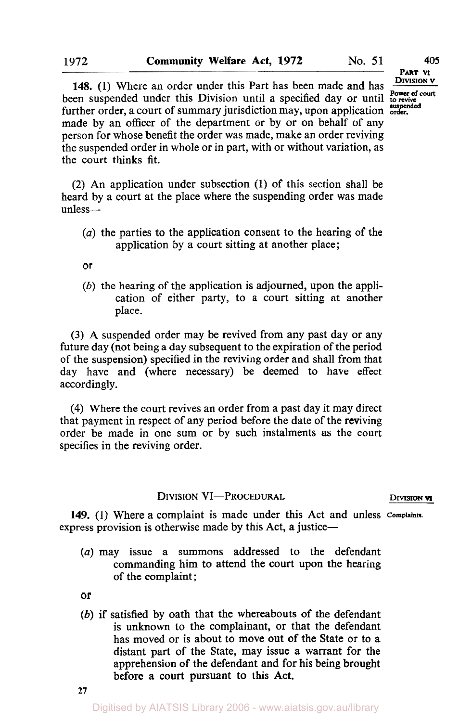**DIVISION v 148.** (1) Where an order under this Part has been made and has *DIVISION V* been suspended under this Division until a specified day or until to revive further order, a court of summary jurisdiction may, upon application suspended made by an officer of the department or by or on behalf of any person for whose benefit the order was made, make an order reviving the suspended order in whole or in part, with or without variation, as

the court thinks fit.

**(2) An** application under subsection **(1)** of this section shall be heard by a court at the place where the suspending order was made unless-

- *(a)* the parties to the application consent to the hearing of the application by a court sitting at another place;
- **or**
- *(b)* the hearing of the application is adjourned, upon the application of either party, to a court sitting at another place.

(3) **A** suspended order may be revived from any past day or any future day (not being a day subsequent to the expiration of the period of the suspension) specified in the reviving order and shall from that day have and (where necessary) be deemed to have effect accordingly.

**(4)** Where the court revives an order from a past day it may direct that payment in respect of any period before the date of the reviving order be made in one sum or by such instalments as the court specifies in the reviving order.

### **DIVISION VI-PROCEDURAL DIVISION <b>VI**

**149. (1)** Where a complaint is made under this Act and unless **Complaints.**  express provision is otherwise made by this Act, a justice-

*(a)* may issue a summons addressed to the defendant commanding him to attend the court upon the hearing of the complaint;

or

*(b)* if satisfied by oath that the whereabouts of the defendant is unknown to the complainant, or that the defendant has moved or **is** about to move out of the State or to a distant part of the State, may issue a warrant for the apprehension of the defendant and for his being brought before a court pursuant to this **Act.** 

**PART VI**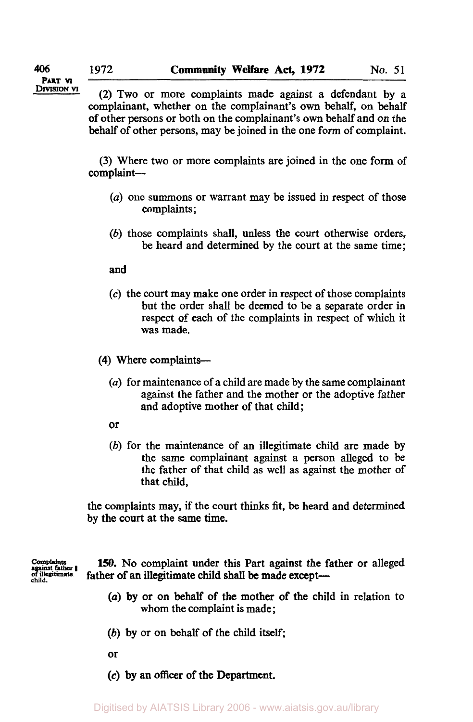**DIVISION VI** 

(2) Two or more complaints made against a defendant by a complainant, whether on the complainant's own behalf, on behalf of other persons or both on the complainant's own behalf and on the behalf of other persons, may be joined in the one form of complaint.

(3) Where two or more complaints are joined in the one form of complaint-

- *(a)* one summons or warrant may be issued in respect of those complaints ;
- (b) those complaints shall, unless the court otherwise orders, be heard and determined by the court at the same time;

**and** 

*(c)* the **court** may make one order in respect of those complaints but the order shall be deemed to be a separate order in respect of each of the complaints in respect of which it was made.

**(4)** Where complaints-

- *(a)* for maintenance of a child are made by the same complainant against the father and the mother or the adoptive father and adoptive mother of that child;
- or
- (b) for the maintenance of an illegitimate child are made by the same complainant against a person alleged to be the father of that child as well as against the mother of that child,

the complaints may, if the court thinks fit, be heard and determined by the court at the same time.

*complaints* against father **I** *of illegitimate child* 

**150.** No complaint under this Part against the father or alleged father of an illegitimate child shall be made except-

- *(a)* by or on behalf of the mother of the child in relation to whom the complaint is made ;
- *(b)* by or on behalf of the child itself;
- or
- **(c)** by an **officer of** the Department.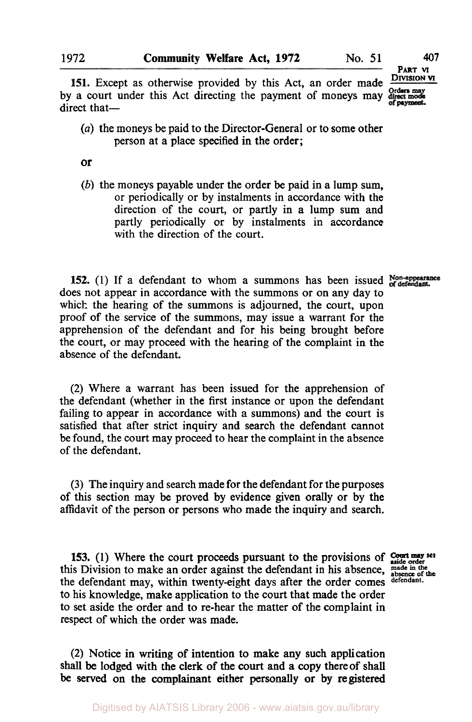**PART VI** . **DIVISION M** 

**151.** Except as otherwise provided by this Act, an order made **Orders may**  by a court under this Act directing the payment of moneys may of payment. direct that-

*(a)* the moneys be paid to the Director-General or to some other person at a place specified in the order;

**or** 

*(b)* the moneys payable under the order be paid in a lump sum, or periodically or by instalments in accordance with the direction of the court, or partly in a lump **sum** and partly periodically or by instalments in accordance with the direction of the court.

**152.** (1) If a defendant to whom a summons has been issued Non-appearance does not appear in accordance with the summons or on any day to which the hearing of the summons **is** adjourned, the court, upon proof of the service of the summons, may issue a warrant for the apprehension of the defendant and for his being brought before the court, or may proceed with the hearing of the complaint in the absence of the defendant.

**(2)** Where a warrant has been issued for the apprehension of the defendant (whether in the first instance or upon the defendant failing to appear in accordance with a summons) and the court is satisfied that after strict inquiry and search the defendant cannot be found, the court may proceed to hear the complaint in the absence of the defendant.

**(3)** The inquiry and search made for the defendant for the purposes of this section may be proved by evidence given orally or by the affidavit of the person or persons who made the inquiry and search.

**153.** (1) Where the court proceeds pursuant to the provisions of **Court may** set this Division to make an order against the defendant in his absence, made in the the defendant may, within twenty-eight days after the order comes **defendant.**  to his knowledge, make application to the court that made the order to set aside the order and to re-hear the matter of the complaint in respect of which the order was made.

**(2)** Notice in writing of intention to make any such application shall be lodged with the clerk of the **court** and a copy thereof shall be served **on** the complainant either personally or **by** registered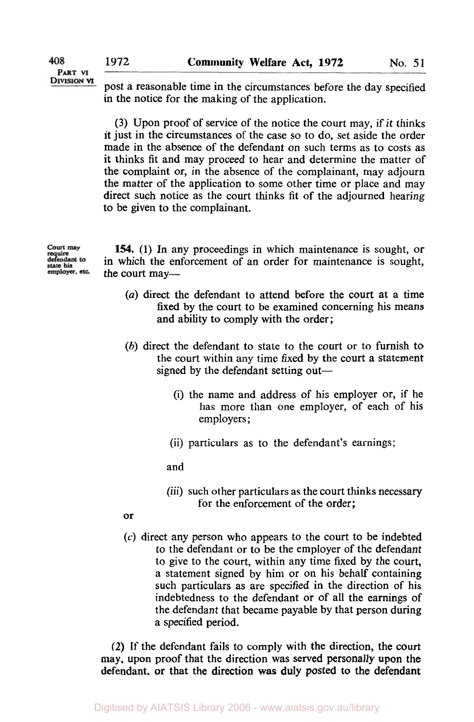PART VI **DIVISION VT** 

408

post a reasonable time in the circumstances before the day specified in the notice for the making of the application.

(3) Upon proof of service of the notice the court may, if it thinks it just in the circumstances of the case so to do, set aside the order made in the absence of the defendant on such terms as to costs as it thinks fit and may proceed to hear and determine the matter of the complaint or, in the absence of the complainant, may adjourn the matter of the application to some other time or place and may direct such notice as the court thinks fit of the adjourned hearing to be given to the complainant.

Court may require<br>defendant to state his<br>employer, etc.

**154.** (1) In any proceedings in which maintenance is sought, or in which the enforcement of an order for maintenance is sought, the court may-

- *(a)* direct the defendant to attend before the court at a time fixed by the court to be examined concerning his means and ability to comply with the order;
- *(b)* direct the defendant to state to the court or to furnish to the court within any time fixed by the court a statement signed by the defendant setting out—
	- (i) the name and address of his employer or, if he has more than one employer, of each of his employers ;
	- (ii) particulars as to the defendant's earnings;

and

- (iii) such other particulars as the court thinks necessary for the enforcement of the order;
- or
- **(c)** direct any person who appears to the court to be indebted to the defendant or to be the employer of the defendant to give to the court, within any time fixed by the court, a statement signed by him or on his behalf containing such particulars as are specified in the direction of his indebtedness to the defendant or of all the earnings of the defendant that became payable by that person during a specified period.

(2) If the defendant fails to comply with the direction, the court may, upon proof that the direction was served personally upon the defendant. or that the direction was duly posted **to** the defendant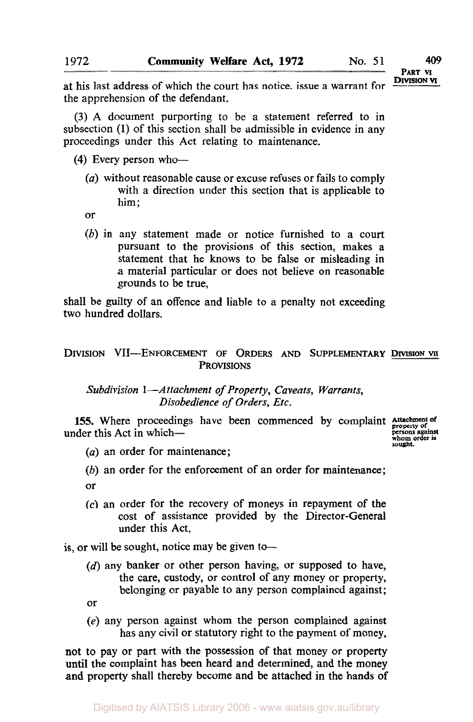at his last address of which the court has notice, issue a warrant for the apprehension of the defendant.

**(3) A** document purporting to be a statement referred to in subsection (1) of this section shall be admissible in evidence in any proceedings under this Act relating to maintenance.

(4) Every person who-

- *(a)* without reasonable cause or excuse refuses or fails to comply with a direction under this section that is applicable to him;
- or
- *(b)* in any statement made or notice furnished to a court pursuant to the provisions of this section, makes a statement that he knows to be false or misleading in a material particular or does not believe on reasonable grounds to be true,

shall be guilty of an offence and liable to a penalty not exceeding two hundred dollars.

### **DIVISION VII-ENFORCEMENT OF ORDERS AND SUPPLEMENTARY DIVISION VII PROVISIONS**

*Subdivision* **1** *-Attachment of Property, Caveats, Warrants, Disobedience of Orders, Etc.* 

**155.** Where proceedings have been commenced by complaint Attachment of under this Act in which-

**persons against whom order is sought.** 

- *(a)* an order for maintenance;
- *(b)* an order for the enforcement of an order for maintenance; or
- **(c)** an order for the recovery of moneys in repayment of the cost of assistance provided by the Director-General under this Act,

is, or will be sought, notice may be given to-

 $(d)$  any banker or other person having, or supposed to have, the care, custody, or control of any money or property, belonging or payable to any person complained against;

or

*(e)* any person against whom the person complained against has any civil or statutory right to the payment of money,

not to pay or part with the possession of that money or property until the complaint has been heard and determined, and the money and property shall thereby become and be attached **in** the hands **of**